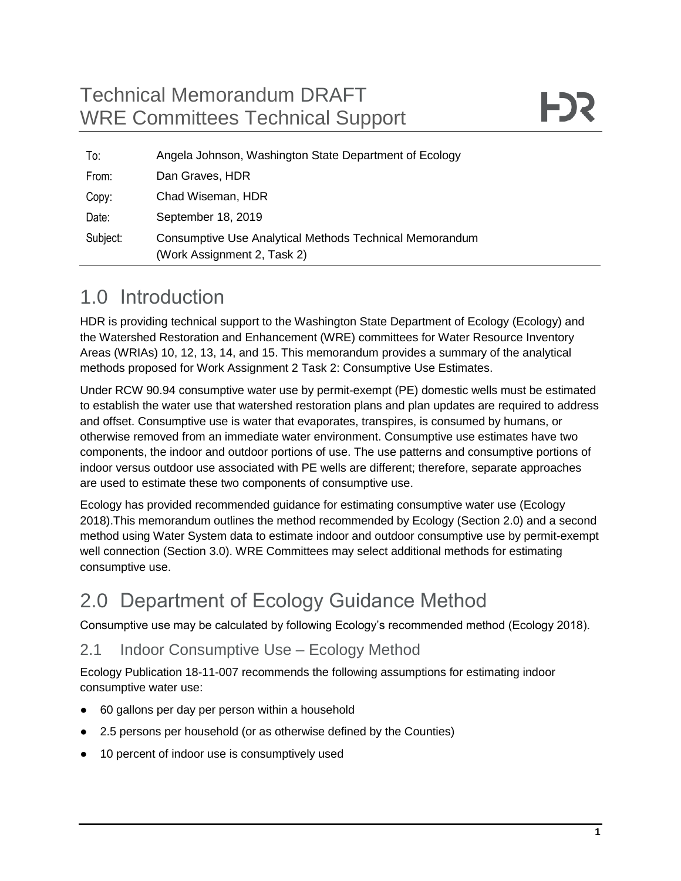# Technical Memorandum DRAFT WRE Committees Technical Support

| To:      | Angela Johnson, Washington State Department of Ecology                                 |
|----------|----------------------------------------------------------------------------------------|
| From:    | Dan Graves, HDR                                                                        |
| Copy:    | Chad Wiseman, HDR                                                                      |
| Date:    | September 18, 2019                                                                     |
| Subject: | Consumptive Use Analytical Methods Technical Memorandum<br>(Work Assignment 2, Task 2) |

# 1.0 Introduction

HDR is providing technical support to the Washington State Department of Ecology (Ecology) and the Watershed Restoration and Enhancement (WRE) committees for Water Resource Inventory Areas (WRIAs) 10, 12, 13, 14, and 15. This memorandum provides a summary of the analytical methods proposed for Work Assignment 2 Task 2: Consumptive Use Estimates.

Under RCW 90.94 consumptive water use by permit-exempt (PE) domestic wells must be estimated to establish the water use that watershed restoration plans and plan updates are required to address and offset. Consumptive use is water that evaporates, transpires, is consumed by humans, or otherwise removed from an immediate water environment. Consumptive use estimates have two components, the indoor and outdoor portions of use. The use patterns and consumptive portions of indoor versus outdoor use associated with PE wells are different; therefore, separate approaches are used to estimate these two components of consumptive use.

Ecology has provided recommended guidance for estimating consumptive water use (Ecology 2018).This memorandum outlines the method recommended by Ecology (Section 2.0) and a second method using Water System data to estimate indoor and outdoor consumptive use by permit-exempt well connection (Section 3.0). WRE Committees may select additional methods for estimating consumptive use.

# 2.0 Department of Ecology Guidance Method

Consumptive use may be calculated by following Ecology's recommended method (Ecology 2018).

### 2.1 Indoor Consumptive Use – Ecology Method

Ecology Publication 18-11-007 recommends the following assumptions for estimating indoor consumptive water use:

- 60 gallons per day per person within a household
- 2.5 persons per household (or as otherwise defined by the Counties)
- 10 percent of indoor use is consumptively used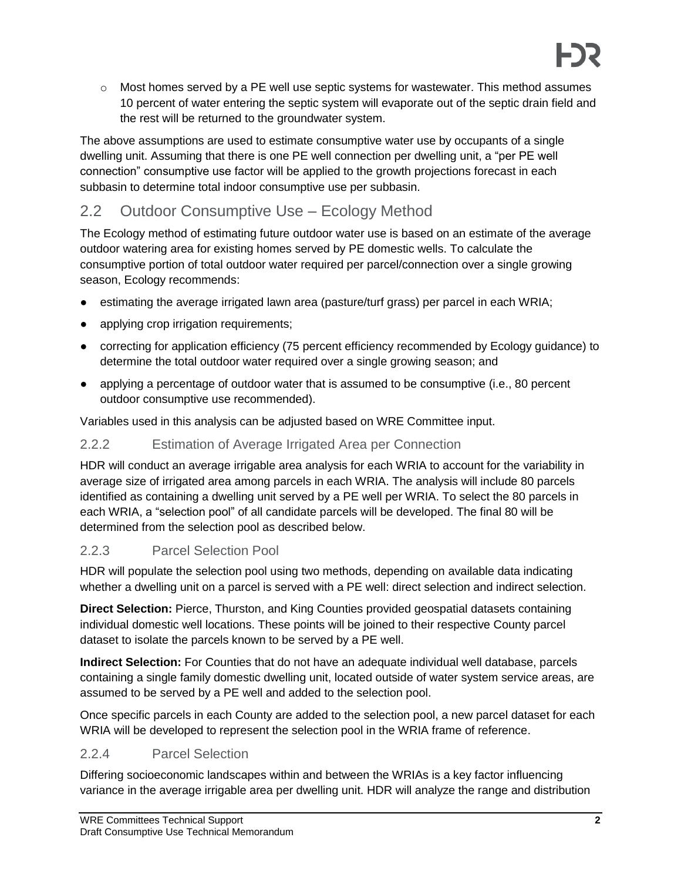$\circ$  Most homes served by a PE well use septic systems for wastewater. This method assumes 10 percent of water entering the septic system will evaporate out of the septic drain field and the rest will be returned to the groundwater system.

The above assumptions are used to estimate consumptive water use by occupants of a single dwelling unit. Assuming that there is one PE well connection per dwelling unit, a "per PE well connection" consumptive use factor will be applied to the growth projections forecast in each subbasin to determine total indoor consumptive use per subbasin.

## 2.2 Outdoor Consumptive Use – Ecology Method

The Ecology method of estimating future outdoor water use is based on an estimate of the average outdoor watering area for existing homes served by PE domestic wells. To calculate the consumptive portion of total outdoor water required per parcel/connection over a single growing season, Ecology recommends:

- estimating the average irrigated lawn area (pasture/turf grass) per parcel in each WRIA;
- applying crop irrigation requirements;
- correcting for application efficiency (75 percent efficiency recommended by Ecology guidance) to determine the total outdoor water required over a single growing season; and
- applying a percentage of outdoor water that is assumed to be consumptive (i.e., 80 percent outdoor consumptive use recommended).

Variables used in this analysis can be adjusted based on WRE Committee input.

### 2.2.2 Estimation of Average Irrigated Area per Connection

HDR will conduct an average irrigable area analysis for each WRIA to account for the variability in average size of irrigated area among parcels in each WRIA. The analysis will include 80 parcels identified as containing a dwelling unit served by a PE well per WRIA. To select the 80 parcels in each WRIA, a "selection pool" of all candidate parcels will be developed. The final 80 will be determined from the selection pool as described below.

### 2.2.3 Parcel Selection Pool

HDR will populate the selection pool using two methods, depending on available data indicating whether a dwelling unit on a parcel is served with a PE well: direct selection and indirect selection.

**Direct Selection:** Pierce, Thurston, and King Counties provided geospatial datasets containing individual domestic well locations. These points will be joined to their respective County parcel dataset to isolate the parcels known to be served by a PE well.

**Indirect Selection:** For Counties that do not have an adequate individual well database, parcels containing a single family domestic dwelling unit, located outside of water system service areas, are assumed to be served by a PE well and added to the selection pool.

Once specific parcels in each County are added to the selection pool, a new parcel dataset for each WRIA will be developed to represent the selection pool in the WRIA frame of reference.

### 2.2.4 Parcel Selection

Differing socioeconomic landscapes within and between the WRIAs is a key factor influencing variance in the average irrigable area per dwelling unit. HDR will analyze the range and distribution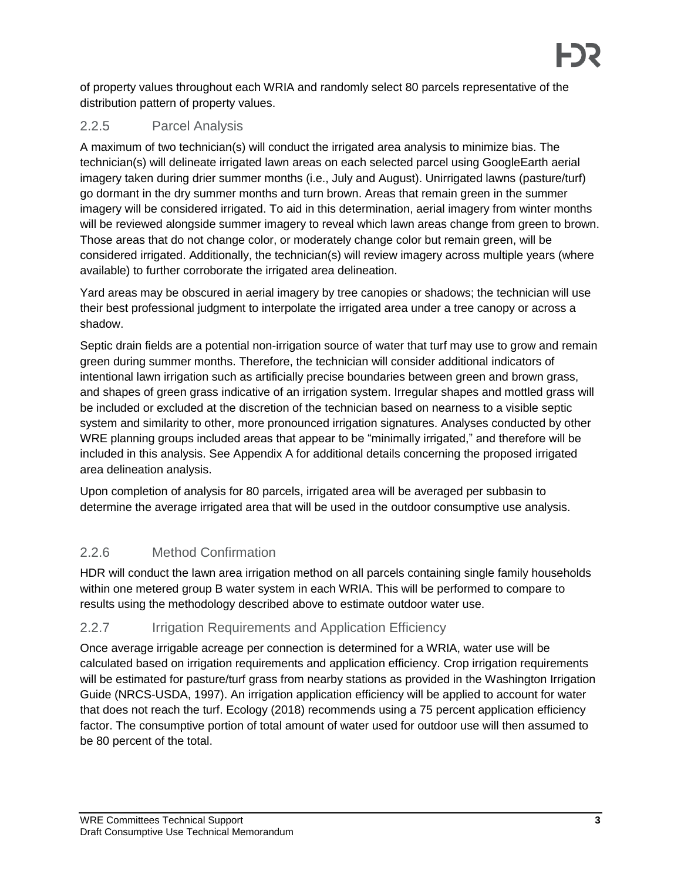of property values throughout each WRIA and randomly select 80 parcels representative of the distribution pattern of property values.

### 2.2.5 Parcel Analysis

A maximum of two technician(s) will conduct the irrigated area analysis to minimize bias. The technician(s) will delineate irrigated lawn areas on each selected parcel using GoogleEarth aerial imagery taken during drier summer months (i.e., July and August). Unirrigated lawns (pasture/turf) go dormant in the dry summer months and turn brown. Areas that remain green in the summer imagery will be considered irrigated. To aid in this determination, aerial imagery from winter months will be reviewed alongside summer imagery to reveal which lawn areas change from green to brown. Those areas that do not change color, or moderately change color but remain green, will be considered irrigated. Additionally, the technician(s) will review imagery across multiple years (where available) to further corroborate the irrigated area delineation.

Yard areas may be obscured in aerial imagery by tree canopies or shadows; the technician will use their best professional judgment to interpolate the irrigated area under a tree canopy or across a shadow.

Septic drain fields are a potential non-irrigation source of water that turf may use to grow and remain green during summer months. Therefore, the technician will consider additional indicators of intentional lawn irrigation such as artificially precise boundaries between green and brown grass, and shapes of green grass indicative of an irrigation system. Irregular shapes and mottled grass will be included or excluded at the discretion of the technician based on nearness to a visible septic system and similarity to other, more pronounced irrigation signatures. Analyses conducted by other WRE planning groups included areas that appear to be "minimally irrigated," and therefore will be included in this analysis. See Appendix A for additional details concerning the proposed irrigated area delineation analysis.

Upon completion of analysis for 80 parcels, irrigated area will be averaged per subbasin to determine the average irrigated area that will be used in the outdoor consumptive use analysis.

### 2.2.6 Method Confirmation

HDR will conduct the lawn area irrigation method on all parcels containing single family households within one metered group B water system in each WRIA. This will be performed to compare to results using the methodology described above to estimate outdoor water use.

### 2.2.7 Irrigation Requirements and Application Efficiency

Once average irrigable acreage per connection is determined for a WRIA, water use will be calculated based on irrigation requirements and application efficiency. Crop irrigation requirements will be estimated for pasture/turf grass from nearby stations as provided in the Washington Irrigation Guide (NRCS-USDA, 1997). An irrigation application efficiency will be applied to account for water that does not reach the turf. Ecology (2018) recommends using a 75 percent application efficiency factor. The consumptive portion of total amount of water used for outdoor use will then assumed to be 80 percent of the total.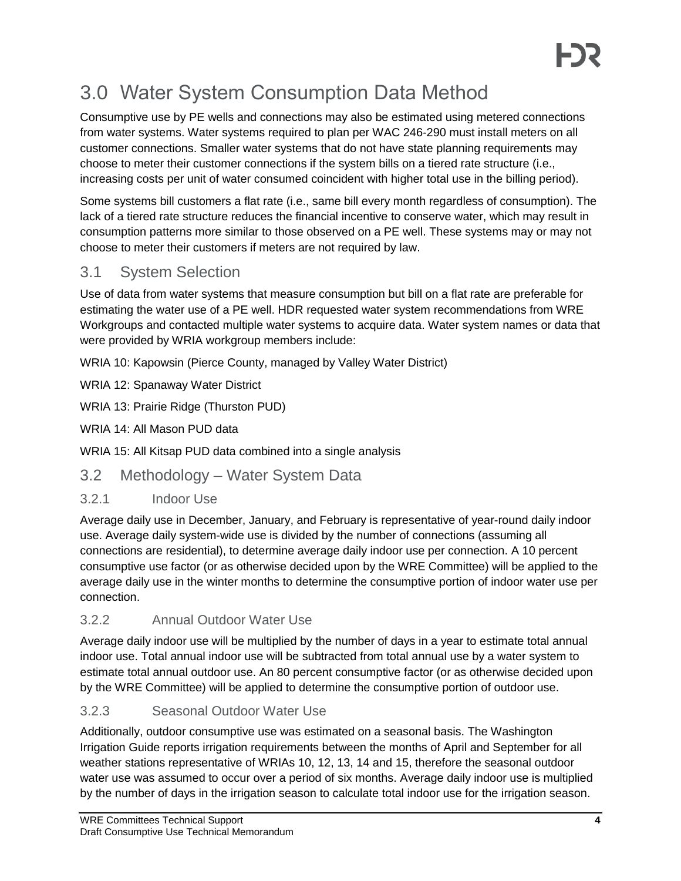# 3.0 Water System Consumption Data Method

Consumptive use by PE wells and connections may also be estimated using metered connections from water systems. Water systems required to plan per WAC 246-290 must install meters on all customer connections. Smaller water systems that do not have state planning requirements may choose to meter their customer connections if the system bills on a tiered rate structure (i.e., increasing costs per unit of water consumed coincident with higher total use in the billing period).

Some systems bill customers a flat rate (i.e., same bill every month regardless of consumption). The lack of a tiered rate structure reduces the financial incentive to conserve water, which may result in consumption patterns more similar to those observed on a PE well. These systems may or may not choose to meter their customers if meters are not required by law.

## 3.1 System Selection

Use of data from water systems that measure consumption but bill on a flat rate are preferable for estimating the water use of a PE well. HDR requested water system recommendations from WRE Workgroups and contacted multiple water systems to acquire data. Water system names or data that were provided by WRIA workgroup members include:

WRIA 10: Kapowsin (Pierce County, managed by Valley Water District)

WRIA 12: Spanaway Water District

WRIA 13: Prairie Ridge (Thurston PUD)

WRIA 14: All Mason PUD data

WRIA 15: All Kitsap PUD data combined into a single analysis

## 3.2 Methodology – Water System Data

### 3.2.1 Indoor Use

Average daily use in December, January, and February is representative of year-round daily indoor use. Average daily system-wide use is divided by the number of connections (assuming all connections are residential), to determine average daily indoor use per connection. A 10 percent consumptive use factor (or as otherwise decided upon by the WRE Committee) will be applied to the average daily use in the winter months to determine the consumptive portion of indoor water use per connection.

### 3.2.2 Annual Outdoor Water Use

Average daily indoor use will be multiplied by the number of days in a year to estimate total annual indoor use. Total annual indoor use will be subtracted from total annual use by a water system to estimate total annual outdoor use. An 80 percent consumptive factor (or as otherwise decided upon by the WRE Committee) will be applied to determine the consumptive portion of outdoor use.

### 3.2.3 Seasonal Outdoor Water Use

Additionally, outdoor consumptive use was estimated on a seasonal basis. The Washington Irrigation Guide reports irrigation requirements between the months of April and September for all weather stations representative of WRIAs 10, 12, 13, 14 and 15, therefore the seasonal outdoor water use was assumed to occur over a period of six months. Average daily indoor use is multiplied by the number of days in the irrigation season to calculate total indoor use for the irrigation season.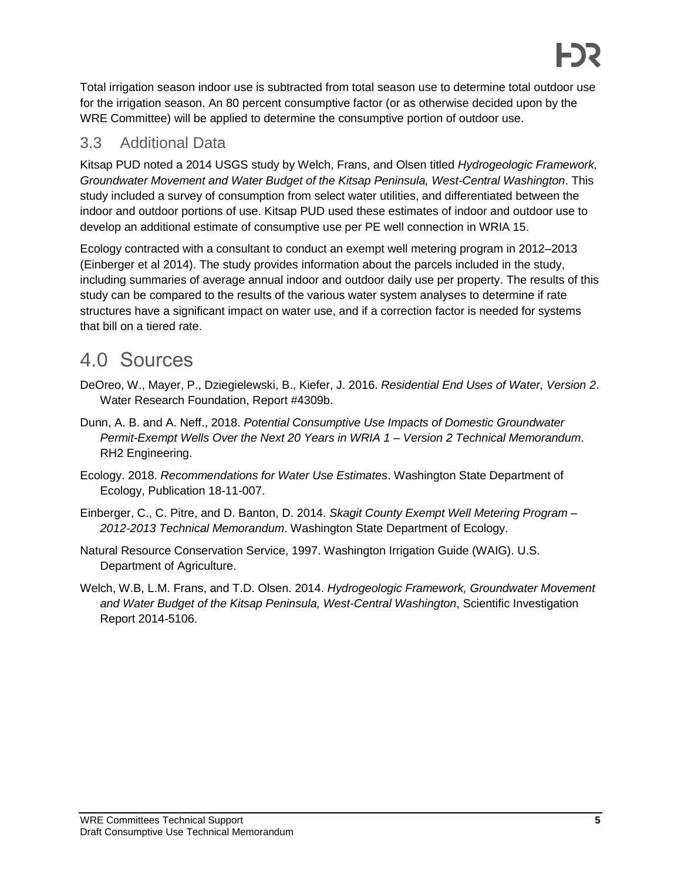Total irrigation season indoor use is subtracted from total season use to determine total outdoor use for the irrigation season. An 80 percent consumptive factor (or as otherwise decided upon by the WRE Committee) will be applied to determine the consumptive portion of outdoor use.

### 3.3 Additional Data

Kitsap PUD noted a 2014 USGS study by Welch, Frans, and Olsen titled *Hydrogeologic Framework, Groundwater Movement and Water Budget of the Kitsap Peninsula, West-Central Washington*. This study included a survey of consumption from select water utilities, and differentiated between the indoor and outdoor portions of use. Kitsap PUD used these estimates of indoor and outdoor use to develop an additional estimate of consumptive use per PE well connection in WRIA 15.

Ecology contracted with a consultant to conduct an exempt well metering program in 2012–2013 (Einberger et al 2014). The study provides information about the parcels included in the study, including summaries of average annual indoor and outdoor daily use per property. The results of this study can be compared to the results of the various water system analyses to determine if rate structures have a significant impact on water use, and if a correction factor is needed for systems that bill on a tiered rate.

# 4.0 Sources

- DeOreo, W., Mayer, P., Dziegielewski, B., Kiefer, J. 2016. *Residential End Uses of Water, Version 2*. Water Research Foundation, Report #4309b.
- Dunn, A. B. and A. Neff., 2018. *Potential Consumptive Use Impacts of Domestic Groundwater Permit-Exempt Wells Over the Next 20 Years in WRIA 1 – Version 2 Technical Memorandum*. RH2 Engineering.
- Ecology. 2018. *Recommendations for Water Use Estimates*. Washington State Department of Ecology, Publication 18-11-007.
- Einberger, C., C. Pitre, and D. Banton, D. 2014. *Skagit County Exempt Well Metering Program – 2012-2013 Technical Memorandum*. Washington State Department of Ecology.
- Natural Resource Conservation Service, 1997. Washington Irrigation Guide (WAIG). U.S. Department of Agriculture.
- Welch, W.B, L.M. Frans, and T.D. Olsen. 2014. *Hydrogeologic Framework, Groundwater Movement and Water Budget of the Kitsap Peninsula, West-Central Washington*, Scientific Investigation Report 2014-5106.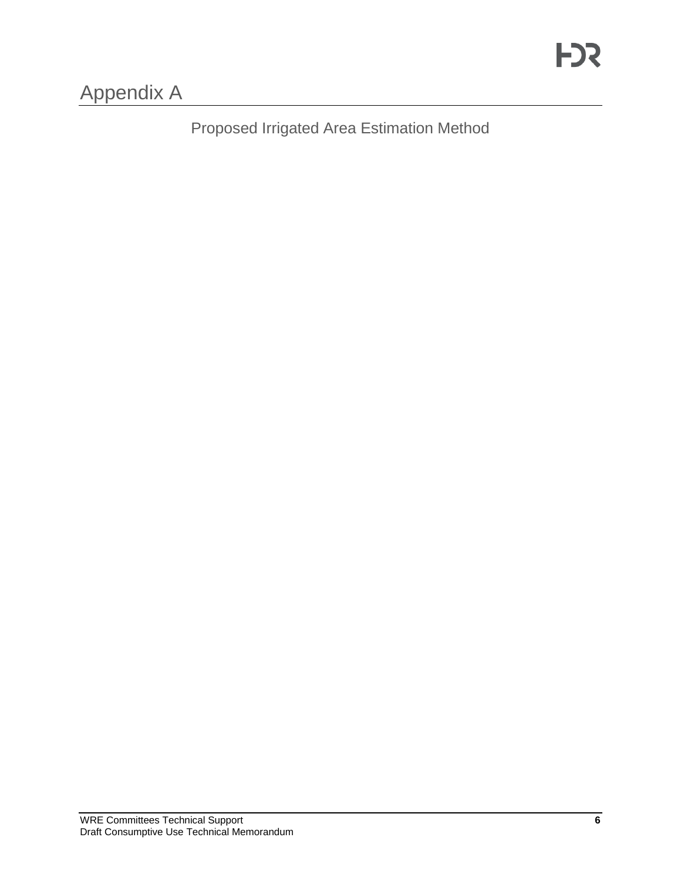Proposed Irrigated Area Estimation Method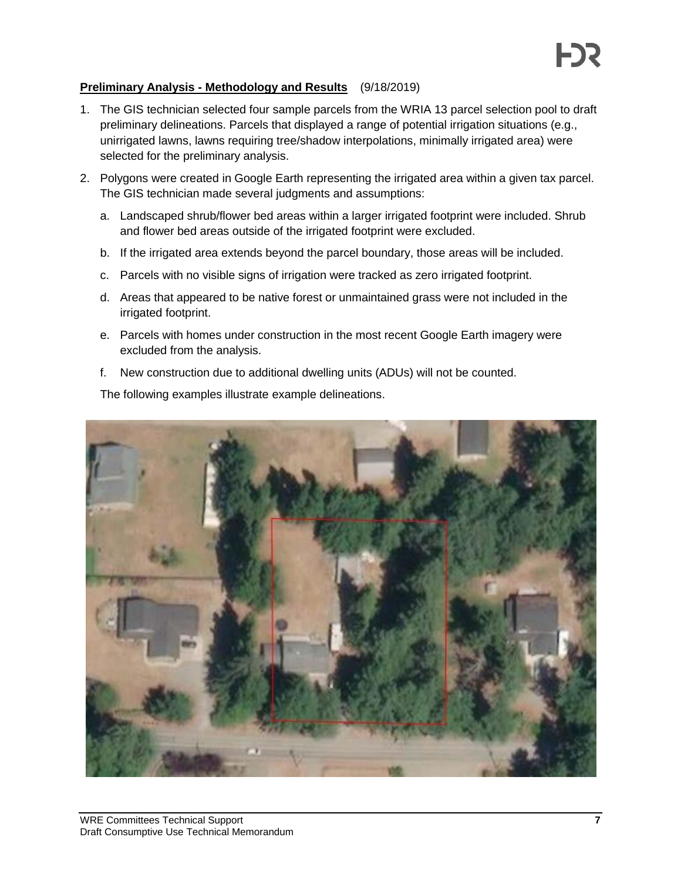#### **Preliminary Analysis - Methodology and Results** (9/18/2019)

- 1. The GIS technician selected four sample parcels from the WRIA 13 parcel selection pool to draft preliminary delineations. Parcels that displayed a range of potential irrigation situations (e.g., unirrigated lawns, lawns requiring tree/shadow interpolations, minimally irrigated area) were selected for the preliminary analysis.
- 2. Polygons were created in Google Earth representing the irrigated area within a given tax parcel. The GIS technician made several judgments and assumptions:
	- a. Landscaped shrub/flower bed areas within a larger irrigated footprint were included. Shrub and flower bed areas outside of the irrigated footprint were excluded.
	- b. If the irrigated area extends beyond the parcel boundary, those areas will be included.
	- c. Parcels with no visible signs of irrigation were tracked as zero irrigated footprint.
	- d. Areas that appeared to be native forest or unmaintained grass were not included in the irrigated footprint.
	- e. Parcels with homes under construction in the most recent Google Earth imagery were excluded from the analysis.
	- f. New construction due to additional dwelling units (ADUs) will not be counted.

The following examples illustrate example delineations.

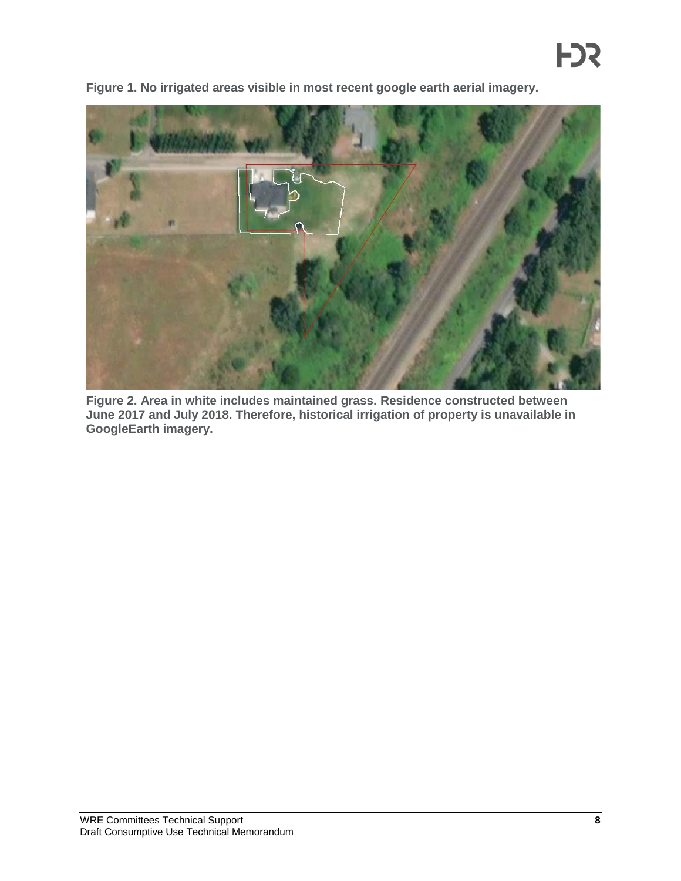

**Figure 1. No irrigated areas visible in most recent google earth aerial imagery.**

**Figure 2. Area in white includes maintained grass. Residence constructed between June 2017 and July 2018. Therefore, historical irrigation of property is unavailable in GoogleEarth imagery.**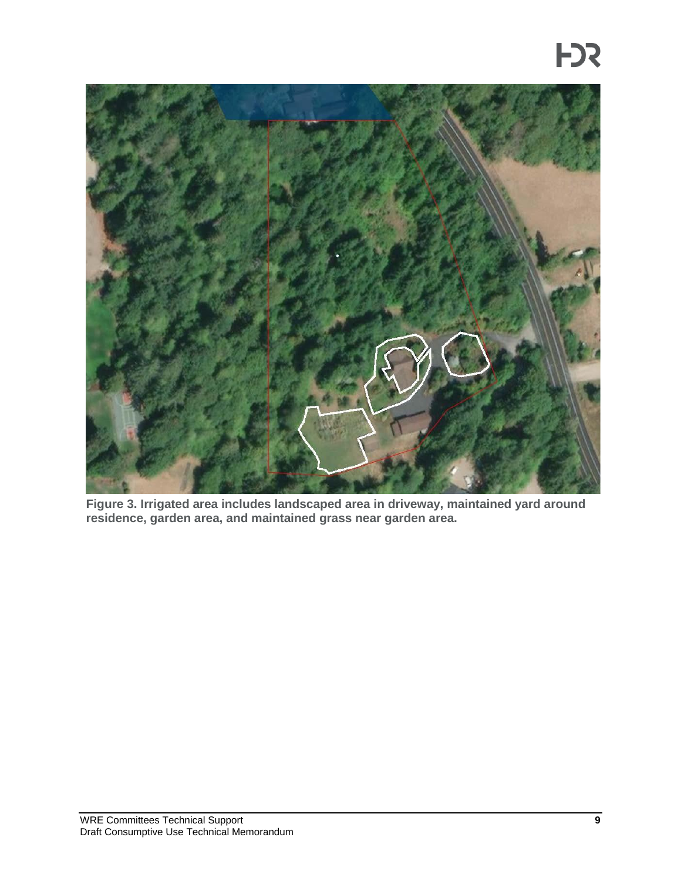

**Figure 3. Irrigated area includes landscaped area in driveway, maintained yard around residence, garden area, and maintained grass near garden area.**